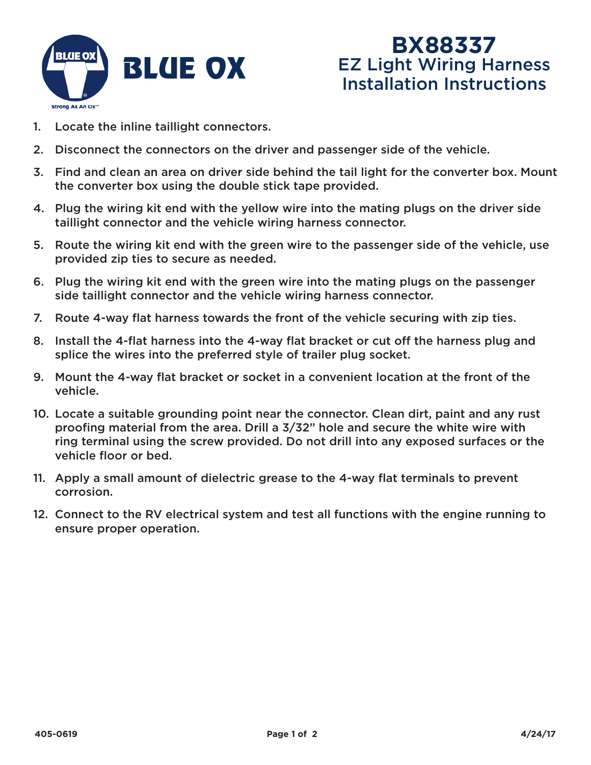

## **BX88337** EZ Light Wiring Harness Installation Instructions

- 1. Locate the inline taillight connectors.
- 2. Disconnect the connectors on the driver and passenger side of the vehicle.
- 3. Find and clean an area on driver side behind the tail light for the converter box. Mount the converter box using the double stick tape provided.
- 4. Plug the wiring kit end with the yellow wire into the mating plugs on the driver side taillight connector and the vehicle wiring harness connector.
- 5. Route the wiring kit end with the green wire to the passenger side of the vehicle, use provided zip ties to secure as needed.
- 6. Plug the wiring kit end with the green wire into the mating plugs on the passenger side taillight connector and the vehicle wiring harness connector.
- 7. Route 4-way flat harness towards the front of the vehicle securing with zip ties.
- 8. Install the 4-flat harness into the 4-way flat bracket or cut off the harness plug and splice the wires into the preferred style of trailer plug socket.
- 9. Mount the 4-way flat bracket or socket in a convenient location at the front of the vehicle.
- 10. Locate a suitable grounding point near the connector. Clean dirt, paint and any rust proofing material from the area. Drill a 3/32" hole and secure the white wire with ring terminal using the screw provided. Do not drill into any exposed surfaces or the vehicle floor or bed.
- 11. Apply a small amount of dielectric grease to the 4-way flat terminals to prevent corrosion.
- 12. Connect to the RV electrical system and test all functions with the engine running to ensure proper operation.